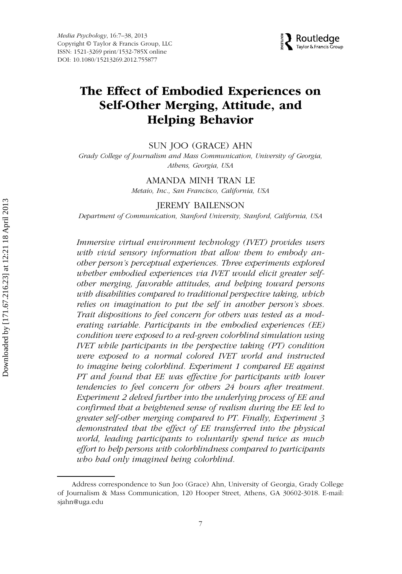

# The Effect of Embodied Experiences on Self-Other Merging, Attitude, and Helping Behavior

# SUN JOO (GRACE) AHN

Grady College of Journalism and Mass Communication, University of Georgia, Athens, Georgia, USA

## AMANDA MINH TRAN LE

Metaio, Inc., San Francisco, California, USA

## JEREMY BAILENSON

Department of Communication, Stanford University, Stanford, California, USA

Immersive virtual environment technology (IVET) provides users with vivid sensory information that allow them to embody another person's perceptual experiences. Three experiments explored whether embodied experiences via IVET would elicit greater selfother merging, favorable attitudes, and helping toward persons with disabilities compared to traditional perspective taking, which relies on imagination to put the self in another person's shoes. Trait dispositions to feel concern for others was tested as a moderating variable. Participants in the embodied experiences (EE) condition were exposed to a red-green colorblind simulation using IVET while participants in the perspective taking (PT) condition were exposed to a normal colored IVET world and instructed to imagine being colorblind. Experiment 1 compared EE against PT and found that EE was effective for participants with lower tendencies to feel concern for others 24 hours after treatment. Experiment 2 delved further into the underlying process of EE and confirmed that a heightened sense of realism during the EE led to greater self-other merging compared to PT. Finally, Experiment 3 demonstrated that the effect of EE transferred into the physical world, leading participants to voluntarily spend twice as much effort to help persons with colorblindness compared to participants who had only imagined being colorblind.

Address correspondence to Sun Joo (Grace) Ahn, University of Georgia, Grady College of Journalism & Mass Communication, 120 Hooper Street, Athens, GA 30602-3018. E-mail: sjahn@uga.edu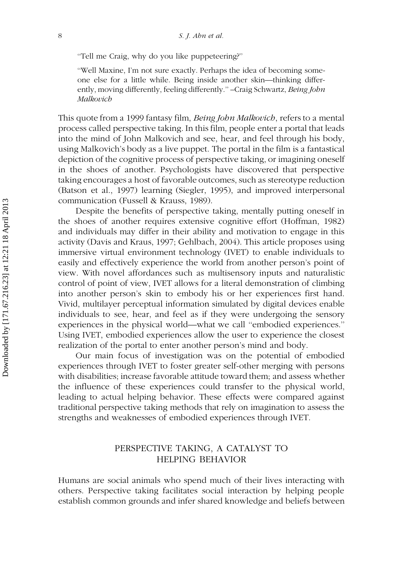''Tell me Craig, why do you like puppeteering?''

''Well Maxine, I'm not sure exactly. Perhaps the idea of becoming someone else for a little while. Being inside another skin—thinking differently, moving differently, feeling differently.'' –Craig Schwartz, Being John Malkovich

This quote from a 1999 fantasy film, Being John Malkovich, refers to a mental process called perspective taking. In this film, people enter a portal that leads into the mind of John Malkovich and see, hear, and feel through his body, using Malkovich's body as a live puppet. The portal in the film is a fantastical depiction of the cognitive process of perspective taking, or imagining oneself in the shoes of another. Psychologists have discovered that perspective taking encourages a host of favorable outcomes, such as stereotype reduction (Batson et al., 1997) learning (Siegler, 1995), and improved interpersonal communication (Fussell & Krauss, 1989).

Despite the benefits of perspective taking, mentally putting oneself in the shoes of another requires extensive cognitive effort (Hoffman, 1982) and individuals may differ in their ability and motivation to engage in this activity (Davis and Kraus, 1997; Gehlbach, 2004). This article proposes using immersive virtual environment technology (IVET) to enable individuals to easily and effectively experience the world from another person's point of view. With novel affordances such as multisensory inputs and naturalistic control of point of view, IVET allows for a literal demonstration of climbing into another person's skin to embody his or her experiences first hand. Vivid, multilayer perceptual information simulated by digital devices enable individuals to see, hear, and feel as if they were undergoing the sensory experiences in the physical world—what we call ''embodied experiences.'' Using IVET, embodied experiences allow the user to experience the closest realization of the portal to enter another person's mind and body.

Our main focus of investigation was on the potential of embodied experiences through IVET to foster greater self-other merging with persons with disabilities; increase favorable attitude toward them; and assess whether the influence of these experiences could transfer to the physical world, leading to actual helping behavior. These effects were compared against traditional perspective taking methods that rely on imagination to assess the strengths and weaknesses of embodied experiences through IVET.

# PERSPECTIVE TAKING, A CATALYST TO HELPING BEHAVIOR

Humans are social animals who spend much of their lives interacting with others. Perspective taking facilitates social interaction by helping people establish common grounds and infer shared knowledge and beliefs between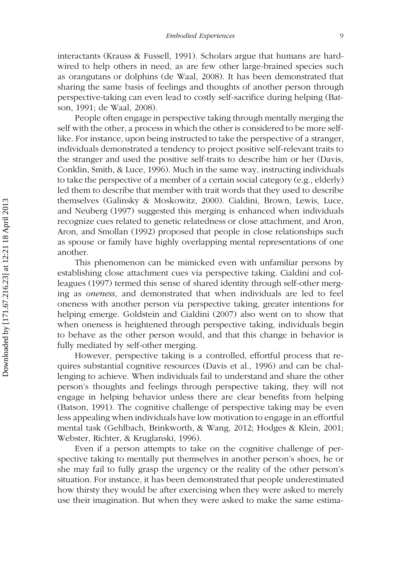interactants (Krauss & Fussell, 1991). Scholars argue that humans are hardwired to help others in need, as are few other large-brained species such as orangutans or dolphins (de Waal, 2008). It has been demonstrated that sharing the same basis of feelings and thoughts of another person through perspective-taking can even lead to costly self-sacrifice during helping (Batson, 1991; de Waal, 2008).

People often engage in perspective taking through mentally merging the self with the other, a process in which the other is considered to be more selflike. For instance, upon being instructed to take the perspective of a stranger, individuals demonstrated a tendency to project positive self-relevant traits to the stranger and used the positive self-traits to describe him or her (Davis, Conklin, Smith, & Luce, 1996). Much in the same way, instructing individuals to take the perspective of a member of a certain social category (e.g., elderly) led them to describe that member with trait words that they used to describe themselves (Galinsky & Moskowitz, 2000). Cialdini, Brown, Lewis, Luce, and Neuberg (1997) suggested this merging is enhanced when individuals recognize cues related to genetic relatedness or close attachment, and Aron, Aron, and Smollan (1992) proposed that people in close relationships such as spouse or family have highly overlapping mental representations of one another.

This phenomenon can be mimicked even with unfamiliar persons by establishing close attachment cues via perspective taking. Cialdini and colleagues (1997) termed this sense of shared identity through self-other merging as oneness, and demonstrated that when individuals are led to feel oneness with another person via perspective taking, greater intentions for helping emerge. Goldstein and Cialdini (2007) also went on to show that when oneness is heightened through perspective taking, individuals begin to behave as the other person would, and that this change in behavior is fully mediated by self-other merging.

However, perspective taking is a controlled, effortful process that requires substantial cognitive resources (Davis et al., 1996) and can be challenging to achieve. When individuals fail to understand and share the other person's thoughts and feelings through perspective taking, they will not engage in helping behavior unless there are clear benefits from helping (Batson, 1991). The cognitive challenge of perspective taking may be even less appealing when individuals have low motivation to engage in an effortful mental task (Gehlbach, Brinkworth, & Wang, 2012; Hodges & Klein, 2001; Webster, Richter, & Kruglanski, 1996).

Even if a person attempts to take on the cognitive challenge of perspective taking to mentally put themselves in another person's shoes, he or she may fail to fully grasp the urgency or the reality of the other person's situation. For instance, it has been demonstrated that people underestimated how thirsty they would be after exercising when they were asked to merely use their imagination. But when they were asked to make the same estima-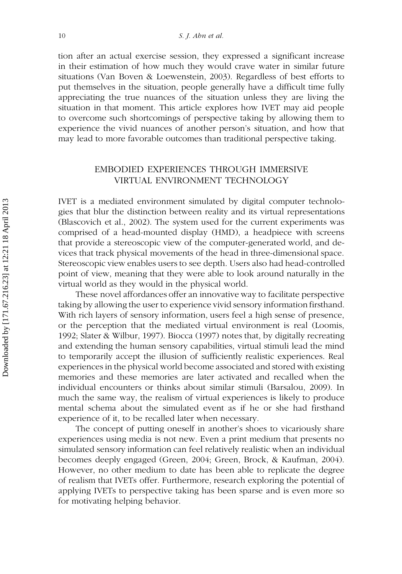tion after an actual exercise session, they expressed a significant increase in their estimation of how much they would crave water in similar future situations (Van Boven & Loewenstein, 2003). Regardless of best efforts to put themselves in the situation, people generally have a difficult time fully appreciating the true nuances of the situation unless they are living the situation in that moment. This article explores how IVET may aid people to overcome such shortcomings of perspective taking by allowing them to experience the vivid nuances of another person's situation, and how that may lead to more favorable outcomes than traditional perspective taking.

# EMBODIED EXPERIENCES THROUGH IMMERSIVE VIRTUAL ENVIRONMENT TECHNOLOGY

IVET is a mediated environment simulated by digital computer technologies that blur the distinction between reality and its virtual representations (Blascovich et al., 2002). The system used for the current experiments was comprised of a head-mounted display (HMD), a headpiece with screens that provide a stereoscopic view of the computer-generated world, and devices that track physical movements of the head in three-dimensional space. Stereoscopic view enables users to see depth. Users also had head-controlled point of view, meaning that they were able to look around naturally in the virtual world as they would in the physical world.

These novel affordances offer an innovative way to facilitate perspective taking by allowing the user to experience vivid sensory information firsthand. With rich layers of sensory information, users feel a high sense of presence, or the perception that the mediated virtual environment is real (Loomis, 1992; Slater & Wilbur, 1997). Biocca (1997) notes that, by digitally recreating and extending the human sensory capabilities, virtual stimuli lead the mind to temporarily accept the illusion of sufficiently realistic experiences. Real experiences in the physical world become associated and stored with existing memories and these memories are later activated and recalled when the individual encounters or thinks about similar stimuli (Barsalou, 2009). In much the same way, the realism of virtual experiences is likely to produce mental schema about the simulated event as if he or she had firsthand experience of it, to be recalled later when necessary.

The concept of putting oneself in another's shoes to vicariously share experiences using media is not new. Even a print medium that presents no simulated sensory information can feel relatively realistic when an individual becomes deeply engaged (Green, 2004; Green, Brock, & Kaufman, 2004). However, no other medium to date has been able to replicate the degree of realism that IVETs offer. Furthermore, research exploring the potential of applying IVETs to perspective taking has been sparse and is even more so for motivating helping behavior.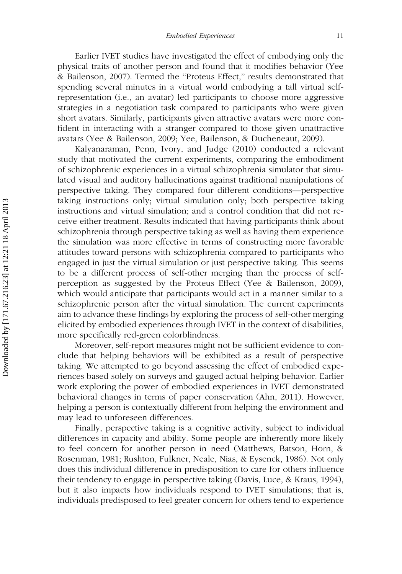Earlier IVET studies have investigated the effect of embodying only the physical traits of another person and found that it modifies behavior (Yee & Bailenson, 2007). Termed the ''Proteus Effect,'' results demonstrated that spending several minutes in a virtual world embodying a tall virtual selfrepresentation (i.e., an avatar) led participants to choose more aggressive strategies in a negotiation task compared to participants who were given short avatars. Similarly, participants given attractive avatars were more confident in interacting with a stranger compared to those given unattractive avatars (Yee & Bailenson, 2009; Yee, Bailenson, & Ducheneaut, 2009).

Kalyanaraman, Penn, Ivory, and Judge (2010) conducted a relevant study that motivated the current experiments, comparing the embodiment of schizophrenic experiences in a virtual schizophrenia simulator that simulated visual and auditory hallucinations against traditional manipulations of perspective taking. They compared four different conditions—perspective taking instructions only; virtual simulation only; both perspective taking instructions and virtual simulation; and a control condition that did not receive either treatment. Results indicated that having participants think about schizophrenia through perspective taking as well as having them experience the simulation was more effective in terms of constructing more favorable attitudes toward persons with schizophrenia compared to participants who engaged in just the virtual simulation or just perspective taking. This seems to be a different process of self-other merging than the process of selfperception as suggested by the Proteus Effect (Yee & Bailenson, 2009), which would anticipate that participants would act in a manner similar to a schizophrenic person after the virtual simulation. The current experiments aim to advance these findings by exploring the process of self-other merging elicited by embodied experiences through IVET in the context of disabilities, more specifically red-green colorblindness.

Moreover, self-report measures might not be sufficient evidence to conclude that helping behaviors will be exhibited as a result of perspective taking. We attempted to go beyond assessing the effect of embodied experiences based solely on surveys and gauged actual helping behavior. Earlier work exploring the power of embodied experiences in IVET demonstrated behavioral changes in terms of paper conservation (Ahn, 2011). However, helping a person is contextually different from helping the environment and may lead to unforeseen differences.

Finally, perspective taking is a cognitive activity, subject to individual differences in capacity and ability. Some people are inherently more likely to feel concern for another person in need (Matthews, Batson, Horn, & Rosenman, 1981; Rushton, Fulkner, Neale, Nias, & Eysenck, 1986). Not only does this individual difference in predisposition to care for others influence their tendency to engage in perspective taking (Davis, Luce, & Kraus, 1994), but it also impacts how individuals respond to IVET simulations; that is, individuals predisposed to feel greater concern for others tend to experience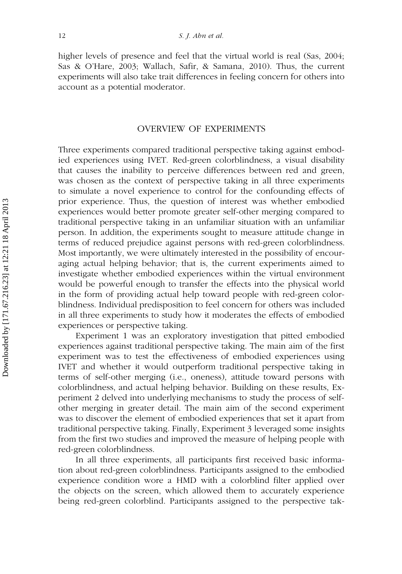higher levels of presence and feel that the virtual world is real (Sas, 2004; Sas & O'Hare, 2003; Wallach, Safir, & Samana, 2010). Thus, the current experiments will also take trait differences in feeling concern for others into account as a potential moderator.

## OVERVIEW OF EXPERIMENTS

Three experiments compared traditional perspective taking against embodied experiences using IVET. Red-green colorblindness, a visual disability that causes the inability to perceive differences between red and green, was chosen as the context of perspective taking in all three experiments to simulate a novel experience to control for the confounding effects of prior experience. Thus, the question of interest was whether embodied experiences would better promote greater self-other merging compared to traditional perspective taking in an unfamiliar situation with an unfamiliar person. In addition, the experiments sought to measure attitude change in terms of reduced prejudice against persons with red-green colorblindness. Most importantly, we were ultimately interested in the possibility of encouraging actual helping behavior; that is, the current experiments aimed to investigate whether embodied experiences within the virtual environment would be powerful enough to transfer the effects into the physical world in the form of providing actual help toward people with red-green colorblindness. Individual predisposition to feel concern for others was included in all three experiments to study how it moderates the effects of embodied experiences or perspective taking.

Experiment 1 was an exploratory investigation that pitted embodied experiences against traditional perspective taking. The main aim of the first experiment was to test the effectiveness of embodied experiences using IVET and whether it would outperform traditional perspective taking in terms of self-other merging (i.e., oneness), attitude toward persons with colorblindness, and actual helping behavior. Building on these results, Experiment 2 delved into underlying mechanisms to study the process of selfother merging in greater detail. The main aim of the second experiment was to discover the element of embodied experiences that set it apart from traditional perspective taking. Finally, Experiment 3 leveraged some insights from the first two studies and improved the measure of helping people with red-green colorblindness.

In all three experiments, all participants first received basic information about red-green colorblindness. Participants assigned to the embodied experience condition wore a HMD with a colorblind filter applied over the objects on the screen, which allowed them to accurately experience being red-green colorblind. Participants assigned to the perspective tak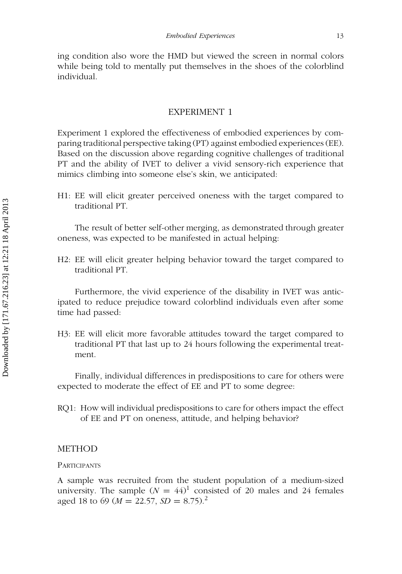ing condition also wore the HMD but viewed the screen in normal colors while being told to mentally put themselves in the shoes of the colorblind individual.

# EXPERIMENT 1

Experiment 1 explored the effectiveness of embodied experiences by comparing traditional perspective taking (PT) against embodied experiences (EE). Based on the discussion above regarding cognitive challenges of traditional PT and the ability of IVET to deliver a vivid sensory-rich experience that mimics climbing into someone else's skin, we anticipated:

H1: EE will elicit greater perceived oneness with the target compared to traditional PT.

The result of better self-other merging, as demonstrated through greater oneness, was expected to be manifested in actual helping:

H2: EE will elicit greater helping behavior toward the target compared to traditional PT.

Furthermore, the vivid experience of the disability in IVET was anticipated to reduce prejudice toward colorblind individuals even after some time had passed:

H3: EE will elicit more favorable attitudes toward the target compared to traditional PT that last up to 24 hours following the experimental treatment.

Finally, individual differences in predispositions to care for others were expected to moderate the effect of EE and PT to some degree:

RQ1: How will individual predispositions to care for others impact the effect of EE and PT on oneness, attitude, and helping behavior?

# **METHOD**

**PARTICIPANTS** 

A sample was recruited from the student population of a medium-sized university. The sample  $(N = 44)^1$  consisted of 20 males and 24 females aged 18 to 69 ( $M = 22.57$ ,  $SD = 8.75$ ).<sup>2</sup>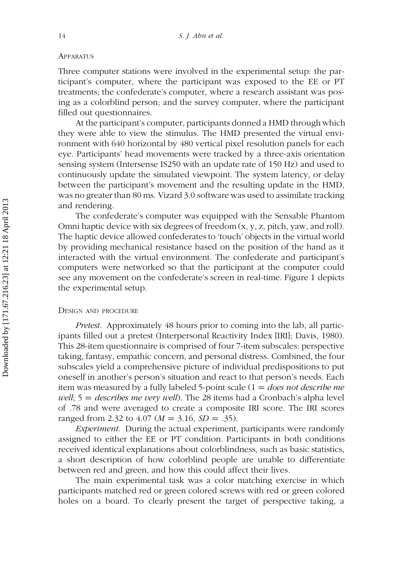#### **APPARATUS**

Three computer stations were involved in the experimental setup: the participant's computer, where the participant was exposed to the EE or PT treatments; the confederate's computer, where a research assistant was posing as a colorblind person; and the survey computer, where the participant filled out questionnaires.

At the participant's computer, participants donned a HMD through which they were able to view the stimulus. The HMD presented the virtual environment with 640 horizontal by 480 vertical pixel resolution panels for each eye. Participants' head movements were tracked by a three-axis orientation sensing system (Intersense IS250 with an update rate of 150 Hz) and used to continuously update the simulated viewpoint. The system latency, or delay between the participant's movement and the resulting update in the HMD, was no greater than 80 ms. Vizard 3.0 software was used to assimilate tracking and rendering.

The confederate's computer was equipped with the Sensable Phantom Omni haptic device with six degrees of freedom (x, y, z, pitch, yaw, and roll). The haptic device allowed confederates to 'touch' objects in the virtual world by providing mechanical resistance based on the position of the hand as it interacted with the virtual environment. The confederate and participant's computers were networked so that the participant at the computer could see any movement on the confederate's screen in real-time. Figure 1 depicts the experimental setup.

#### DESIGN AND PROCEDURE

Pretest. Approximately 48 hours prior to coming into the lab, all participants filled out a pretest (Interpersonal Reactivity Index [IRI]; Davis, 1980). This 28-item questionnaire is comprised of four 7-item subscales: perspective taking, fantasy, empathic concern, and personal distress. Combined, the four subscales yield a comprehensive picture of individual predispositions to put oneself in another's person's situation and react to that person's needs. Each item was measured by a fully labeled 5-point scale  $(1 = does not describe me)$ well;  $5 =$  describes me very well). The 28 items had a Cronbach's alpha level of .78 and were averaged to create a composite IRI score. The IRI scores ranged from 2.32 to 4.07 ( $M = 3.16$ ,  $SD = .35$ ).

Experiment. During the actual experiment, participants were randomly assigned to either the EE or PT condition. Participants in both conditions received identical explanations about colorblindness, such as basic statistics, a short description of how colorblind people are unable to differentiate between red and green, and how this could affect their lives.

The main experimental task was a color matching exercise in which participants matched red or green colored screws with red or green colored holes on a board. To clearly present the target of perspective taking, a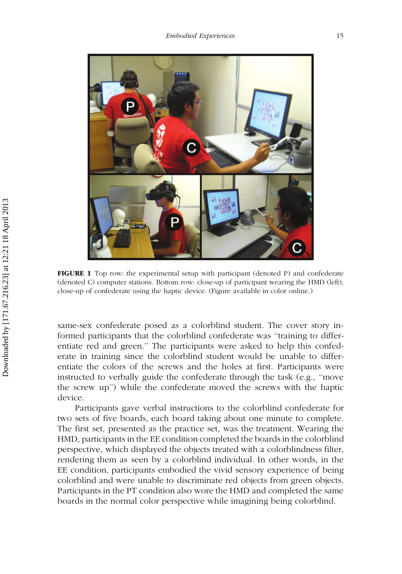

FIGURE 1 Top row: the experimental setup with participant (denoted P) and confederate (denoted C) computer stations. Bottom row: close-up of participant wearing the HMD (left), close-up of confederate using the haptic device. (Figure available in color online.)

same-sex confederate posed as a colorblind student. The cover story informed participants that the colorblind confederate was ''training to differentiate red and green.'' The participants were asked to help this confederate in training since the colorblind student would be unable to differentiate the colors of the screws and the holes at first. Participants were instructed to verbally guide the confederate through the task (e.g., ''move the screw up'') while the confederate moved the screws with the haptic device.

Participants gave verbal instructions to the colorblind confederate for two sets of five boards, each board taking about one minute to complete. The first set, presented as the practice set, was the treatment. Wearing the HMD, participants in the EE condition completed the boards in the colorblind perspective, which displayed the objects treated with a colorblindness filter, rendering them as seen by a colorblind individual. In other words, in the EE condition, participants embodied the vivid sensory experience of being colorblind and were unable to discriminate red objects from green objects. Participants in the PT condition also wore the HMD and completed the same boards in the normal color perspective while imagining being colorblind.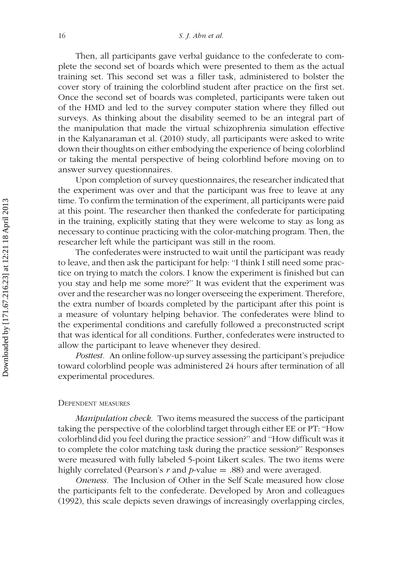Then, all participants gave verbal guidance to the confederate to complete the second set of boards which were presented to them as the actual training set. This second set was a filler task, administered to bolster the cover story of training the colorblind student after practice on the first set. Once the second set of boards was completed, participants were taken out of the HMD and led to the survey computer station where they filled out surveys. As thinking about the disability seemed to be an integral part of the manipulation that made the virtual schizophrenia simulation effective in the Kalyanaraman et al. (2010) study, all participants were asked to write down their thoughts on either embodying the experience of being colorblind or taking the mental perspective of being colorblind before moving on to answer survey questionnaires.

Upon completion of survey questionnaires, the researcher indicated that the experiment was over and that the participant was free to leave at any time. To confirm the termination of the experiment, all participants were paid at this point. The researcher then thanked the confederate for participating in the training, explicitly stating that they were welcome to stay as long as necessary to continue practicing with the color-matching program. Then, the researcher left while the participant was still in the room.

The confederates were instructed to wait until the participant was ready to leave, and then ask the participant for help: ''I think I still need some practice on trying to match the colors. I know the experiment is finished but can you stay and help me some more?'' It was evident that the experiment was over and the researcher was no longer overseeing the experiment. Therefore, the extra number of boards completed by the participant after this point is a measure of voluntary helping behavior. The confederates were blind to the experimental conditions and carefully followed a preconstructed script that was identical for all conditions. Further, confederates were instructed to allow the participant to leave whenever they desired.

Posttest. An online follow-up survey assessing the participant's prejudice toward colorblind people was administered 24 hours after termination of all experimental procedures.

#### DEPENDENT MEASURES

Manipulation check. Two items measured the success of the participant taking the perspective of the colorblind target through either EE or PT: ''How colorblind did you feel during the practice session?'' and ''How difficult was it to complete the color matching task during the practice session?'' Responses were measured with fully labeled 5-point Likert scales. The two items were highly correlated (Pearson's  $r$  and  $p$ -value = .88) and were averaged.

Oneness. The Inclusion of Other in the Self Scale measured how close the participants felt to the confederate. Developed by Aron and colleagues (1992), this scale depicts seven drawings of increasingly overlapping circles,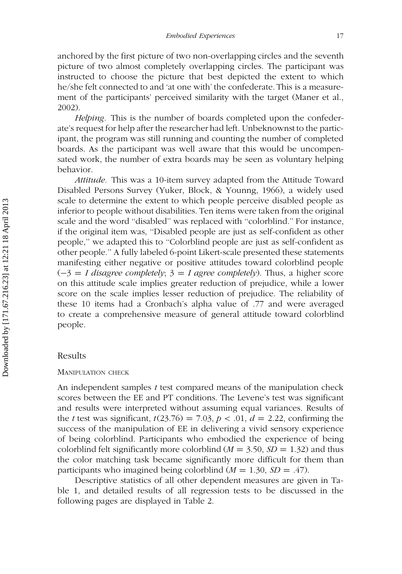anchored by the first picture of two non-overlapping circles and the seventh picture of two almost completely overlapping circles. The participant was instructed to choose the picture that best depicted the extent to which he/she felt connected to and 'at one with' the confederate. This is a measurement of the participants' perceived similarity with the target (Maner et al., 2002).

Helping. This is the number of boards completed upon the confederate's request for help after the researcher had left. Unbeknownst to the participant, the program was still running and counting the number of completed boards. As the participant was well aware that this would be uncompensated work, the number of extra boards may be seen as voluntary helping behavior.

Attitude. This was a 10-item survey adapted from the Attitude Toward Disabled Persons Survey (Yuker, Block, & Younng, 1966), a widely used scale to determine the extent to which people perceive disabled people as inferior to people without disabilities. Ten items were taken from the original scale and the word ''disabled'' was replaced with ''colorblind.'' For instance, if the original item was, ''Disabled people are just as self-confident as other people,'' we adapted this to ''Colorblind people are just as self-confident as other people.'' A fully labeled 6-point Likert-scale presented these statements manifesting either negative or positive attitudes toward colorblind people  $(-3 = I \text{ disagree completely}; 3 = I \text{ agree completely})$ . Thus, a higher score on this attitude scale implies greater reduction of prejudice, while a lower score on the scale implies lesser reduction of prejudice. The reliability of these 10 items had a Cronbach's alpha value of .77 and were averaged to create a comprehensive measure of general attitude toward colorblind people.

## Results

### MANIPULATION CHECK

An independent samples  $t$  test compared means of the manipulation check scores between the EE and PT conditions. The Levene's test was significant and results were interpreted without assuming equal variances. Results of the t test was significant,  $t(23.76) = 7.03$ ,  $p < .01$ ,  $d = 2.22$ , confirming the success of the manipulation of EE in delivering a vivid sensory experience of being colorblind. Participants who embodied the experience of being colorblind felt significantly more colorblind ( $M = 3.50$ ,  $SD = 1.32$ ) and thus the color matching task became significantly more difficult for them than participants who imagined being colorblind ( $M = 1.30$ ,  $SD = .47$ ).

Descriptive statistics of all other dependent measures are given in Table 1, and detailed results of all regression tests to be discussed in the following pages are displayed in Table 2.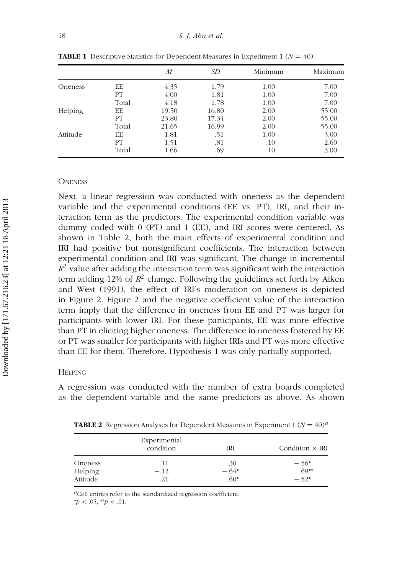|          |       | М     | SD    | Minimum | Maximum |
|----------|-------|-------|-------|---------|---------|
| Oneness  | EE    | 4.35  | 1.79  | 1.00    | 7.00    |
|          | PТ    | 4.00  | 1.81  | 1.00    | 7.00    |
|          | Total | 4.18  | 1.78  | 1.00    | 7.00    |
| Helping  | EЕ    | 19.50 | 16.80 | 2.00    | 55.00   |
|          | PТ    | 23.80 | 17.34 | 2.00    | 55.00   |
|          | Total | 21.65 | 16.99 | 2.00    | 55.00   |
| Attitude | EΕ    | 1.81  | .51   | 1.00    | 3.00    |
|          | PТ    | 1.51  | .81   | .10     | 2.60    |
|          | Total | 1.66  | .69   | .10     | 3.00    |

**TABLE 1** Descriptive Statistics for Dependent Measures in Experiment 1 ( $N = 40$ )

#### **ONENESS**

Next, a linear regression was conducted with oneness as the dependent variable and the experimental conditions (EE vs. PT), IRI, and their interaction term as the predictors. The experimental condition variable was dummy coded with 0 (PT) and 1 (EE), and IRI scores were centered. As shown in Table 2, both the main effects of experimental condition and IRI had positive but nonsignificant coefficients. The interaction between experimental condition and IRI was significant. The change in incremental  $R^2$  value after adding the interaction term was significant with the interaction term adding 12% of  $R^2$  change. Following the guidelines set forth by Aiken and West (1991), the effect of IRI's moderation on oneness is depicted in Figure 2. Figure 2 and the negative coefficient value of the interaction term imply that the difference in oneness from EE and PT was larger for participants with lower IRI. For these participants, EE was more effective than PT in eliciting higher oneness. The difference in oneness fostered by EE or PT was smaller for participants with higher IRIs and PT was more effective than EE for them. Therefore, Hypothesis 1 was only partially supported.

#### **HELPING**

A regression was conducted with the number of extra boards completed as the dependent variable and the same predictors as above. As shown

|                                | Experimental<br>condition | IRI                           | Condition $\times$ IRI      |
|--------------------------------|---------------------------|-------------------------------|-----------------------------|
| Oneness<br>Helping<br>Attitude | .11<br>$-.12$<br>.21      | $-0.30$<br>$-0.64*$<br>$.60*$ | $-56^*$<br>.69**<br>$-.52*$ |

**TABLE 2** Regression Analyses for Dependent Measures in Experiment 1  $(N = 40)^{a}$ 

<sup>a</sup>Cell entries refer to the standardized regression coefficient.  $* p < .05, ** p < .01.$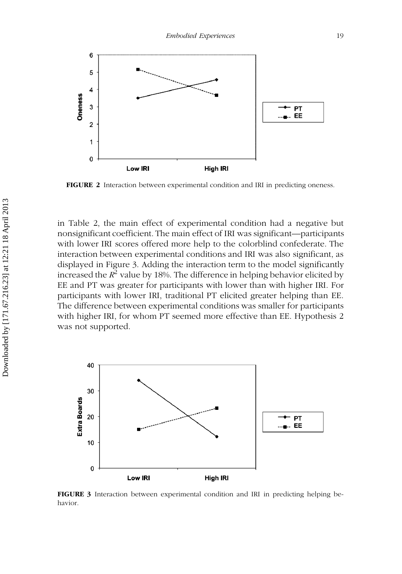

FIGURE 2 Interaction between experimental condition and IRI in predicting oneness.

in Table 2, the main effect of experimental condition had a negative but nonsignificant coefficient. The main effect of IRI was significant—participants with lower IRI scores offered more help to the colorblind confederate. The interaction between experimental conditions and IRI was also significant, as displayed in Figure 3. Adding the interaction term to the model significantly increased the  $\mathit{R}^{2}$  value by 18%. The difference in helping behavior elicited by EE and PT was greater for participants with lower than with higher IRI. For participants with lower IRI, traditional PT elicited greater helping than EE. The difference between experimental conditions was smaller for participants with higher IRI, for whom PT seemed more effective than EE. Hypothesis 2 was not supported.



FIGURE 3 Interaction between experimental condition and IRI in predicting helping behavior.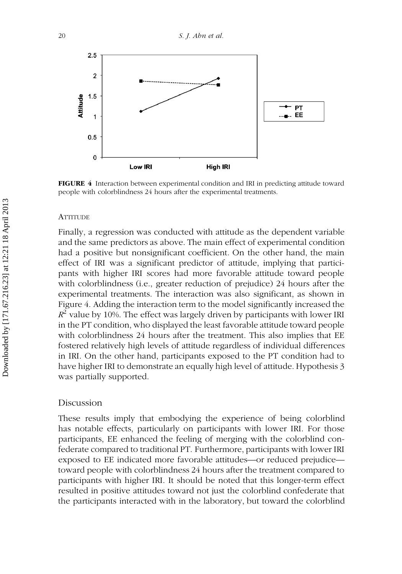

FIGURE 4 Interaction between experimental condition and IRI in predicting attitude toward people with colorblindness 24 hours after the experimental treatments.

### **ATTITUDE**

Finally, a regression was conducted with attitude as the dependent variable and the same predictors as above. The main effect of experimental condition had a positive but nonsignificant coefficient. On the other hand, the main effect of IRI was a significant predictor of attitude, implying that participants with higher IRI scores had more favorable attitude toward people with colorblindness (i.e., greater reduction of prejudice) 24 hours after the experimental treatments. The interaction was also significant, as shown in Figure 4. Adding the interaction term to the model significantly increased the  $R^2$  value by 10%. The effect was largely driven by participants with lower IRI in the PT condition, who displayed the least favorable attitude toward people with colorblindness 24 hours after the treatment. This also implies that EE fostered relatively high levels of attitude regardless of individual differences in IRI. On the other hand, participants exposed to the PT condition had to have higher IRI to demonstrate an equally high level of attitude. Hypothesis 3 was partially supported.

## Discussion

These results imply that embodying the experience of being colorblind has notable effects, particularly on participants with lower IRI. For those participants, EE enhanced the feeling of merging with the colorblind confederate compared to traditional PT. Furthermore, participants with lower IRI exposed to EE indicated more favorable attitudes—or reduced prejudice toward people with colorblindness 24 hours after the treatment compared to participants with higher IRI. It should be noted that this longer-term effect resulted in positive attitudes toward not just the colorblind confederate that the participants interacted with in the laboratory, but toward the colorblind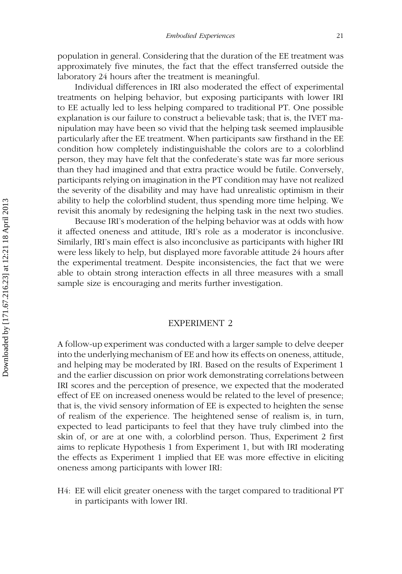population in general. Considering that the duration of the EE treatment was approximately five minutes, the fact that the effect transferred outside the laboratory 24 hours after the treatment is meaningful.

Individual differences in IRI also moderated the effect of experimental treatments on helping behavior, but exposing participants with lower IRI to EE actually led to less helping compared to traditional PT. One possible explanation is our failure to construct a believable task; that is, the IVET manipulation may have been so vivid that the helping task seemed implausible particularly after the EE treatment. When participants saw firsthand in the EE condition how completely indistinguishable the colors are to a colorblind person, they may have felt that the confederate's state was far more serious than they had imagined and that extra practice would be futile. Conversely, participants relying on imagination in the PT condition may have not realized the severity of the disability and may have had unrealistic optimism in their ability to help the colorblind student, thus spending more time helping. We revisit this anomaly by redesigning the helping task in the next two studies.

Because IRI's moderation of the helping behavior was at odds with how it affected oneness and attitude, IRI's role as a moderator is inconclusive. Similarly, IRI's main effect is also inconclusive as participants with higher IRI were less likely to help, but displayed more favorable attitude 24 hours after the experimental treatment. Despite inconsistencies, the fact that we were able to obtain strong interaction effects in all three measures with a small sample size is encouraging and merits further investigation.

### EXPERIMENT 2

A follow-up experiment was conducted with a larger sample to delve deeper into the underlying mechanism of EE and how its effects on oneness, attitude, and helping may be moderated by IRI. Based on the results of Experiment 1 and the earlier discussion on prior work demonstrating correlations between IRI scores and the perception of presence, we expected that the moderated effect of EE on increased oneness would be related to the level of presence; that is, the vivid sensory information of EE is expected to heighten the sense of realism of the experience. The heightened sense of realism is, in turn, expected to lead participants to feel that they have truly climbed into the skin of, or are at one with, a colorblind person. Thus, Experiment 2 first aims to replicate Hypothesis 1 from Experiment 1, but with IRI moderating the effects as Experiment 1 implied that EE was more effective in eliciting oneness among participants with lower IRI:

H4: EE will elicit greater oneness with the target compared to traditional PT in participants with lower IRI.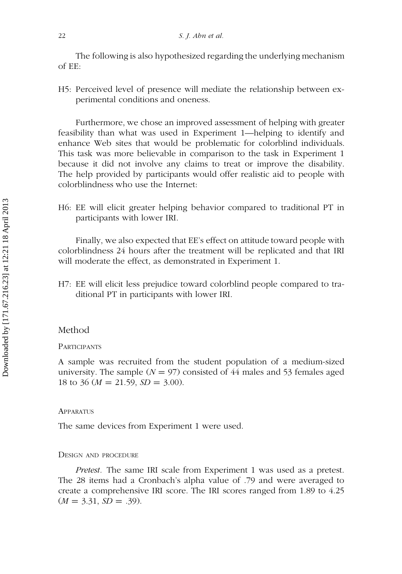The following is also hypothesized regarding the underlying mechanism  $\alpha$  $\mathsf{F}$   $\mathsf{F}$   $\mathsf{F}$   $\mathsf{F}$   $\mathsf{F}$   $\mathsf{F}$   $\mathsf{F}$   $\mathsf{F}$   $\mathsf{F}$   $\mathsf{F}$   $\mathsf{F}$   $\mathsf{F}$   $\mathsf{F}$   $\mathsf{F}$   $\mathsf{F}$   $\mathsf{F}$   $\mathsf{F}$   $\mathsf{F}$   $\mathsf{F}$   $\mathsf{F}$   $\mathsf{F}$   $\mathsf{F}$   $\mathsf{F}$   $\mathsf{F}$ 

H5: Perceived level of presence will mediate the relationship between experimental conditions and oneness.

Furthermore, we chose an improved assessment of helping with greater feasibility than what was used in Experiment 1—helping to identify and enhance Web sites that would be problematic for colorblind individuals. This task was more believable in comparison to the task in Experiment 1 because it did not involve any claims to treat or improve the disability. The help provided by participants would offer realistic aid to people with colorblindness who use the Internet:

H6: EE will elicit greater helping behavior compared to traditional PT in participants with lower IRI.

Finally, we also expected that EE's effect on attitude toward people with colorblindness 24 hours after the treatment will be replicated and that IRI will moderate the effect, as demonstrated in Experiment 1.

H7: EE will elicit less prejudice toward colorblind people compared to traditional PT in participants with lower IRI.

## Method

### **PARTICIPANTS**

A sample was recruited from the student population of a medium-sized university. The sample ( $N = 97$ ) consisted of 44 males and 53 females aged 18 to 36 ( $M = 21.59$ ,  $SD = 3.00$ ).

### **APPARATUS**

The same devices from Experiment 1 were used.

### DESIGN AND PROCEDURE

Pretest. The same IRI scale from Experiment 1 was used as a pretest. The 28 items had a Cronbach's alpha value of .79 and were averaged to create a comprehensive IRI score. The IRI scores ranged from 1.89 to 4.25  $(M = 3.31, SD = .39).$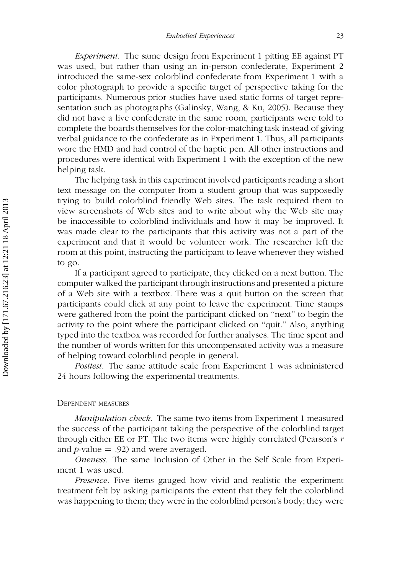Experiment. The same design from Experiment 1 pitting EE against PT was used, but rather than using an in-person confederate, Experiment 2 introduced the same-sex colorblind confederate from Experiment 1 with a color photograph to provide a specific target of perspective taking for the participants. Numerous prior studies have used static forms of target representation such as photographs (Galinsky, Wang, & Ku, 2005). Because they did not have a live confederate in the same room, participants were told to complete the boards themselves for the color-matching task instead of giving verbal guidance to the confederate as in Experiment 1. Thus, all participants wore the HMD and had control of the haptic pen. All other instructions and procedures were identical with Experiment 1 with the exception of the new helping task.

The helping task in this experiment involved participants reading a short text message on the computer from a student group that was supposedly trying to build colorblind friendly Web sites. The task required them to view screenshots of Web sites and to write about why the Web site may be inaccessible to colorblind individuals and how it may be improved. It was made clear to the participants that this activity was not a part of the experiment and that it would be volunteer work. The researcher left the room at this point, instructing the participant to leave whenever they wished to go.

If a participant agreed to participate, they clicked on a next button. The computer walked the participant through instructions and presented a picture of a Web site with a textbox. There was a quit button on the screen that participants could click at any point to leave the experiment. Time stamps were gathered from the point the participant clicked on ''next'' to begin the activity to the point where the participant clicked on ''quit.'' Also, anything typed into the textbox was recorded for further analyses. The time spent and the number of words written for this uncompensated activity was a measure of helping toward colorblind people in general.

Posttest. The same attitude scale from Experiment 1 was administered 24 hours following the experimental treatments.

#### DEPENDENT MEASURES

Manipulation check. The same two items from Experiment 1 measured the success of the participant taking the perspective of the colorblind target through either EE or PT. The two items were highly correlated (Pearson's r and  $p$ -value = .92) and were averaged.

Oneness. The same Inclusion of Other in the Self Scale from Experiment 1 was used.

Presence. Five items gauged how vivid and realistic the experiment treatment felt by asking participants the extent that they felt the colorblind was happening to them; they were in the colorblind person's body; they were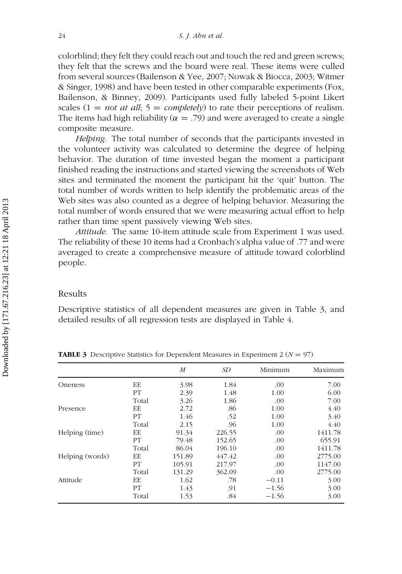colorblind; they felt they could reach out and touch the red and green screws; they felt that the screws and the board were real. These items were culled from several sources (Bailenson & Yee, 2007; Nowak & Biocca, 2003; Witmer & Singer, 1998) and have been tested in other comparable experiments (Fox, Bailenson, & Binney, 2009). Participants used fully labeled 5-point Likert scales (1 = *not at all*;  $5 = \text{completely}$ ) to rate their perceptions of realism. The items had high reliability ( $\alpha = .79$ ) and were averaged to create a single composite measure.

Helping. The total number of seconds that the participants invested in the volunteer activity was calculated to determine the degree of helping behavior. The duration of time invested began the moment a participant finished reading the instructions and started viewing the screenshots of Web sites and terminated the moment the participant hit the 'quit' button. The total number of words written to help identify the problematic areas of the Web sites was also counted as a degree of helping behavior. Measuring the total number of words ensured that we were measuring actual effort to help rather than time spent passively viewing Web sites.

Attitude. The same 10-item attitude scale from Experiment 1 was used. The reliability of these 10 items had a Cronbach's alpha value of .77 and were averaged to create a comprehensive measure of attitude toward colorblind people.

## Results

Descriptive statistics of all dependent measures are given in Table 3, and detailed results of all regression tests are displayed in Table 4.

|                 |       | M      | SD     | Minimum | Maximum |
|-----------------|-------|--------|--------|---------|---------|
| Oneness         | EΕ    | 3.98   | 1.84   | .00     | 7.00    |
|                 | PT    | 2.39   | 1.48   | 1.00    | 6.00    |
|                 | Total | 3.26   | 1.86   | .00     | 7.00    |
| Presence        | EΕ    | 2.72   | .86    | 1.00    | 4.40    |
|                 | PT    | 1.46   | .52    | 1.00    | 3.40    |
|                 | Total | 2.15   | .96    | 1.00    | 4.40    |
| Helping (time)  | EΕ    | 91.34  | 226.55 | .00     | 1411.78 |
|                 | PT    | 79.48  | 152.65 | .00     | 655.91  |
|                 | Total | 86.04  | 196.10 | .00     | 1411.78 |
| Helping (words) | EЕ    | 151.89 | 447.42 | .00     | 2775.00 |
|                 | PT    | 105.91 | 217.97 | .00     | 1147.00 |
|                 | Total | 131.29 | 362.09 | .00     | 2775.00 |
| Attitude        | EΕ    | 1.62   | .78    | $-0.11$ | 3.00    |
|                 | PТ    | 1.43   | .91    | $-1.56$ | 3.00    |
|                 | Total | 1.53   | .84    | $-1.56$ | 3.00    |

**TABLE 3** Descriptive Statistics for Dependent Measures in Experiment 2 ( $N = 97$ )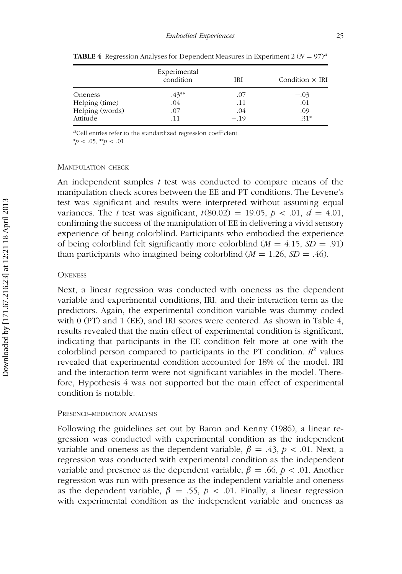|                 | Experimental<br>condition | IRI    | Condition $\times$ IRI |
|-----------------|---------------------------|--------|------------------------|
| <b>Oneness</b>  | $.43**$                   | .07    | $-.03$                 |
| Helping (time)  | .04                       | .11    | .01                    |
| Helping (words) | .07                       | .04    | .09                    |
| Attitude        | .11                       | $-.19$ | $.31*$                 |

**TABLE 4** Regression Analyses for Dependent Measures in Experiment 2 ( $N = 97$ )<sup>a</sup>

<sup>a</sup>Cell entries refer to the standardized regression coefficient.

 $*<sub>p</sub> < .05, **<sub>p</sub> < .01.$ 

#### MANIPULATION CHECK

An independent samples t test was conducted to compare means of the manipulation check scores between the EE and PT conditions. The Levene's test was significant and results were interpreted without assuming equal variances. The t test was significant,  $t(80.02) = 19.05$ ,  $p < .01$ ,  $d = 4.01$ , confirming the success of the manipulation of EE in delivering a vivid sensory experience of being colorblind. Participants who embodied the experience of being colorblind felt significantly more colorblind ( $M = 4.15$ ,  $SD = .91$ ) than participants who imagined being colorblind  $(M = 1.26, SD = .46)$ .

## **ONENESS**

Next, a linear regression was conducted with oneness as the dependent variable and experimental conditions, IRI, and their interaction term as the predictors. Again, the experimental condition variable was dummy coded with 0 (PT) and 1 (EE), and IRI scores were centered. As shown in Table 4, results revealed that the main effect of experimental condition is significant, indicating that participants in the EE condition felt more at one with the colorblind person compared to participants in the PT condition.  $R^2$  values revealed that experimental condition accounted for 18% of the model. IRI and the interaction term were not significant variables in the model. Therefore, Hypothesis 4 was not supported but the main effect of experimental condition is notable.

### PRESENCE–MEDIATION ANALYSIS

Following the guidelines set out by Baron and Kenny (1986), a linear regression was conducted with experimental condition as the independent variable and oneness as the dependent variable,  $\beta = .43$ ,  $p < .01$ . Next, a regression was conducted with experimental condition as the independent variable and presence as the dependent variable,  $\beta = .66$ ,  $p < .01$ . Another regression was run with presence as the independent variable and oneness as the dependent variable,  $\beta = .55$ ,  $p < .01$ . Finally, a linear regression with experimental condition as the independent variable and oneness as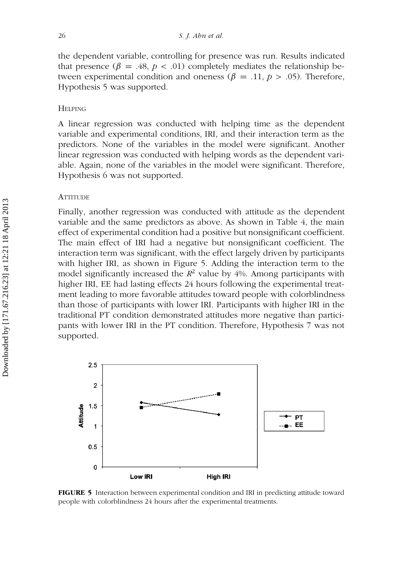the dependent variable, controlling for presence was run. Results indicated that presence ( $\beta = .48$ ,  $p < .01$ ) completely mediates the relationship between experimental condition and oneness ( $\beta = .11$ ,  $p > .05$ ). Therefore, Hypothesis 5 was supported.

### **HELPING**

A linear regression was conducted with helping time as the dependent variable and experimental conditions, IRI, and their interaction term as the predictors. None of the variables in the model were significant. Another linear regression was conducted with helping words as the dependent variable. Again, none of the variables in the model were significant. Therefore, Hypothesis 6 was not supported.

### **ATTITUDE**

Finally, another regression was conducted with attitude as the dependent variable and the same predictors as above. As shown in Table 4, the main effect of experimental condition had a positive but nonsignificant coefficient. The main effect of IRI had a negative but nonsignificant coefficient. The interaction term was significant, with the effect largely driven by participants with higher IRI, as shown in Figure 5. Adding the interaction term to the model significantly increased the  $R^2$  value by 4%. Among participants with higher IRI, EE had lasting effects 24 hours following the experimental treatment leading to more favorable attitudes toward people with colorblindness than those of participants with lower IRI. Participants with higher IRI in the traditional PT condition demonstrated attitudes more negative than participants with lower IRI in the PT condition. Therefore, Hypothesis 7 was not supported.



FIGURE 5 Interaction between experimental condition and IRI in predicting attitude toward people with colorblindness 24 hours after the experimental treatments.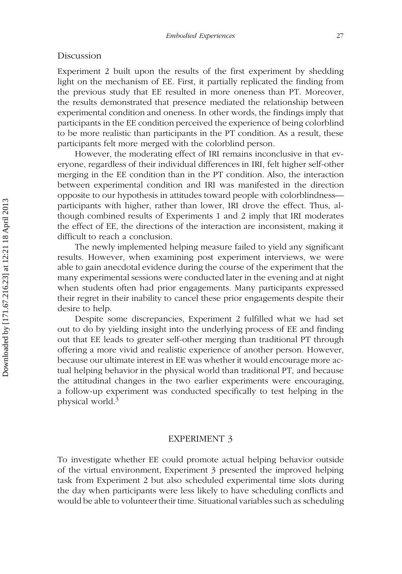## Discussion

Experiment 2 built upon the results of the first experiment by shedding light on the mechanism of EE. First, it partially replicated the finding from the previous study that EE resulted in more oneness than PT. Moreover, the results demonstrated that presence mediated the relationship between experimental condition and oneness. In other words, the findings imply that participants in the EE condition perceived the experience of being colorblind to be more realistic than participants in the PT condition. As a result, these participants felt more merged with the colorblind person.

However, the moderating effect of IRI remains inconclusive in that everyone, regardless of their individual differences in IRI, felt higher self-other merging in the EE condition than in the PT condition. Also, the interaction between experimental condition and IRI was manifested in the direction opposite to our hypothesis in attitudes toward people with colorblindness participants with higher, rather than lower, IRI drove the effect. Thus, although combined results of Experiments 1 and 2 imply that IRI moderates the effect of EE, the directions of the interaction are inconsistent, making it difficult to reach a conclusion.

The newly implemented helping measure failed to yield any significant results. However, when examining post experiment interviews, we were able to gain anecdotal evidence during the course of the experiment that the many experimental sessions were conducted later in the evening and at night when students often had prior engagements. Many participants expressed their regret in their inability to cancel these prior engagements despite their desire to help.

Despite some discrepancies, Experiment 2 fulfilled what we had set out to do by yielding insight into the underlying process of EE and finding out that EE leads to greater self-other merging than traditional PT through offering a more vivid and realistic experience of another person. However, because our ultimate interest in EE was whether it would encourage more actual helping behavior in the physical world than traditional PT, and because the attitudinal changes in the two earlier experiments were encouraging, a follow-up experiment was conducted specifically to test helping in the physical world.<sup>3</sup>

### EXPERIMENT 3

To investigate whether EE could promote actual helping behavior outside of the virtual environment, Experiment 3 presented the improved helping task from Experiment 2 but also scheduled experimental time slots during the day when participants were less likely to have scheduling conflicts and would be able to volunteer their time. Situational variables such as scheduling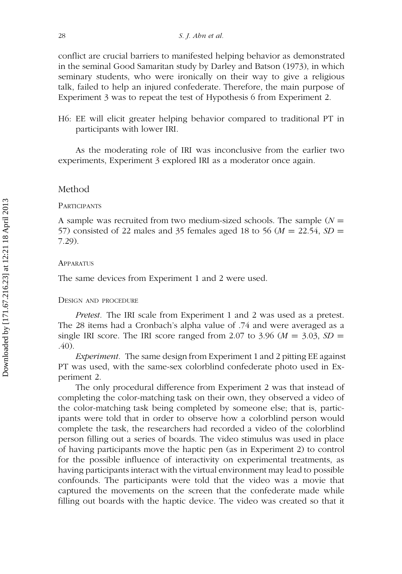conflict are crucial barriers to manifested helping behavior as demonstrated in the seminal Good Samaritan study by Darley and Batson (1973), in which seminary students, who were ironically on their way to give a religious talk, failed to help an injured confederate. Therefore, the main purpose of Experiment 3 was to repeat the test of Hypothesis 6 from Experiment 2.

H6: EE will elicit greater helping behavior compared to traditional PT in participants with lower IRI.

As the moderating role of IRI was inconclusive from the earlier two experiments, Experiment 3 explored IRI as a moderator once again.

Method

## **PARTICIPANTS**

A sample was recruited from two medium-sized schools. The sample  $(N =$ 57) consisted of 22 males and 35 females aged 18 to 56 ( $M = 22.54$ ,  $SD =$ 7.29).

### APPARATUS

The same devices from Experiment 1 and 2 were used.

DESIGN AND PROCEDURE

Pretest. The IRI scale from Experiment 1 and 2 was used as a pretest. The 28 items had a Cronbach's alpha value of .74 and were averaged as a single IRI score. The IRI score ranged from 2.07 to 3.96 ( $M = 3.03$ ,  $SD =$ .40).

Experiment. The same design from Experiment 1 and 2 pitting EE against PT was used, with the same-sex colorblind confederate photo used in Experiment 2.

The only procedural difference from Experiment 2 was that instead of completing the color-matching task on their own, they observed a video of the color-matching task being completed by someone else; that is, participants were told that in order to observe how a colorblind person would complete the task, the researchers had recorded a video of the colorblind person filling out a series of boards. The video stimulus was used in place of having participants move the haptic pen (as in Experiment 2) to control for the possible influence of interactivity on experimental treatments, as having participants interact with the virtual environment may lead to possible confounds. The participants were told that the video was a movie that captured the movements on the screen that the confederate made while filling out boards with the haptic device. The video was created so that it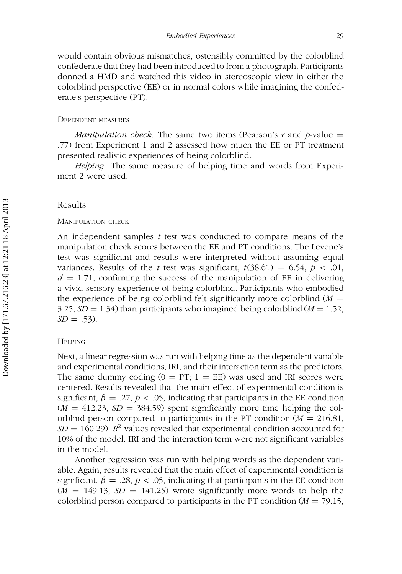would contain obvious mismatches, ostensibly committed by the colorblind confederate that they had been introduced to from a photograph. Participants donned a HMD and watched this video in stereoscopic view in either the colorblind perspective (EE) or in normal colors while imagining the confederate's perspective (PT).

## DEPENDENT MEASURES

*Manipulation check.* The same two items (Pearson's r and p-value  $=$ .77) from Experiment 1 and 2 assessed how much the EE or PT treatment presented realistic experiences of being colorblind.

Helping. The same measure of helping time and words from Experiment 2 were used.

## Results

## MANIPULATION CHECK

An independent samples  $t$  test was conducted to compare means of the manipulation check scores between the EE and PT conditions. The Levene's test was significant and results were interpreted without assuming equal variances. Results of the t test was significant,  $t(38.61) = 6.54$ ,  $p < .01$ ,  $d = 1.71$ , confirming the success of the manipulation of EE in delivering a vivid sensory experience of being colorblind. Participants who embodied the experience of being colorblind felt significantly more colorblind  $(M =$ 3.25,  $SD = 1.34$ ) than participants who imagined being colorblind ( $M = 1.52$ ,  $SD = .53$ ).

## **HELPING**

Next, a linear regression was run with helping time as the dependent variable and experimental conditions, IRI, and their interaction term as the predictors. The same dummy coding  $(0 = PT; 1 = EE)$  was used and IRI scores were centered. Results revealed that the main effect of experimental condition is significant,  $\beta = .27$ ,  $p < .05$ , indicating that participants in the EE condition  $(M = 412.23, SD = 384.59)$  spent significantly more time helping the colorblind person compared to participants in the PT condition ( $M = 216.81$ ,  $SD = 160.29$ ).  $R^2$  values revealed that experimental condition accounted for 10% of the model. IRI and the interaction term were not significant variables in the model.

Another regression was run with helping words as the dependent variable. Again, results revealed that the main effect of experimental condition is significant,  $\beta = .28$ ,  $p < .05$ , indicating that participants in the EE condition  $(M = 149.13, SD = 141.25)$  wrote significantly more words to help the colorblind person compared to participants in the PT condition ( $M = 79.15$ ,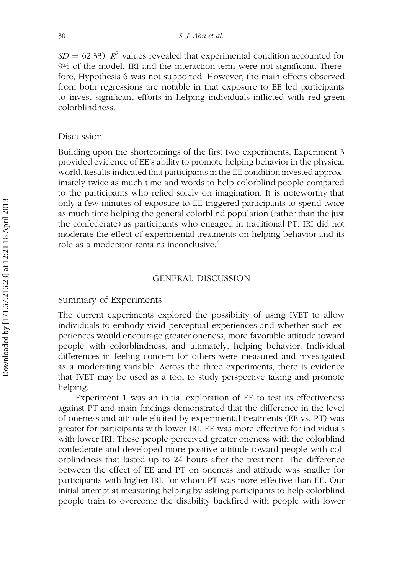$SD = 62.33$ ).  $R^2$  values revealed that experimental condition accounted for 9% of the model. IRI and the interaction term were not significant. Therefore, Hypothesis 6 was not supported. However, the main effects observed from both regressions are notable in that exposure to EE led participants to invest significant efforts in helping individuals inflicted with red-green colorblindness.

## Discussion

Building upon the shortcomings of the first two experiments, Experiment 3 provided evidence of EE's ability to promote helping behavior in the physical world. Results indicated that participants in the EE condition invested approximately twice as much time and words to help colorblind people compared to the participants who relied solely on imagination. It is noteworthy that only a few minutes of exposure to EE triggered participants to spend twice as much time helping the general colorblind population (rather than the just the confederate) as participants who engaged in traditional PT. IRI did not moderate the effect of experimental treatments on helping behavior and its role as a moderator remains inconclusive. $4$ 

## GENERAL DISCUSSION

## Summary of Experiments

The current experiments explored the possibility of using IVET to allow individuals to embody vivid perceptual experiences and whether such experiences would encourage greater oneness, more favorable attitude toward people with colorblindness, and ultimately, helping behavior. Individual differences in feeling concern for others were measured and investigated as a moderating variable. Across the three experiments, there is evidence that IVET may be used as a tool to study perspective taking and promote helping.

Experiment 1 was an initial exploration of EE to test its effectiveness against PT and main findings demonstrated that the difference in the level of oneness and attitude elicited by experimental treatments (EE vs. PT) was greater for participants with lower IRI. EE was more effective for individuals with lower IRI: These people perceived greater oneness with the colorblind confederate and developed more positive attitude toward people with colorblindness that lasted up to 24 hours after the treatment. The difference between the effect of EE and PT on oneness and attitude was smaller for participants with higher IRI, for whom PT was more effective than EE. Our initial attempt at measuring helping by asking participants to help colorblind people train to overcome the disability backfired with people with lower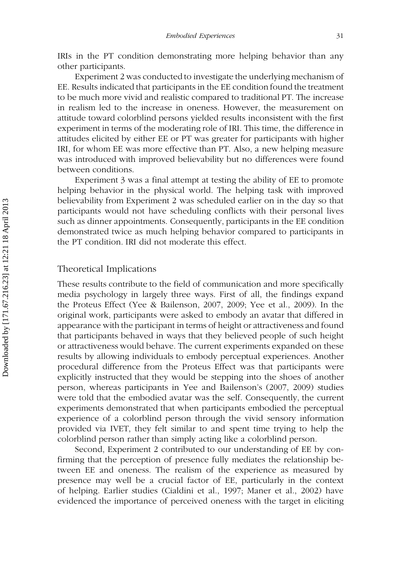IRIs in the PT condition demonstrating more helping behavior than any other participants.

Experiment 2 was conducted to investigate the underlying mechanism of EE. Results indicated that participants in the EE condition found the treatment to be much more vivid and realistic compared to traditional PT. The increase in realism led to the increase in oneness. However, the measurement on attitude toward colorblind persons yielded results inconsistent with the first experiment in terms of the moderating role of IRI. This time, the difference in attitudes elicited by either EE or PT was greater for participants with higher IRI, for whom EE was more effective than PT. Also, a new helping measure was introduced with improved believability but no differences were found between conditions.

Experiment 3 was a final attempt at testing the ability of EE to promote helping behavior in the physical world. The helping task with improved believability from Experiment 2 was scheduled earlier on in the day so that participants would not have scheduling conflicts with their personal lives such as dinner appointments. Consequently, participants in the EE condition demonstrated twice as much helping behavior compared to participants in the PT condition. IRI did not moderate this effect.

## Theoretical Implications

These results contribute to the field of communication and more specifically media psychology in largely three ways. First of all, the findings expand the Proteus Effect (Yee & Bailenson, 2007, 2009; Yee et al., 2009). In the original work, participants were asked to embody an avatar that differed in appearance with the participant in terms of height or attractiveness and found that participants behaved in ways that they believed people of such height or attractiveness would behave. The current experiments expanded on these results by allowing individuals to embody perceptual experiences. Another procedural difference from the Proteus Effect was that participants were explicitly instructed that they would be stepping into the shoes of another person, whereas participants in Yee and Bailenson's (2007, 2009) studies were told that the embodied avatar was the self. Consequently, the current experiments demonstrated that when participants embodied the perceptual experience of a colorblind person through the vivid sensory information provided via IVET, they felt similar to and spent time trying to help the colorblind person rather than simply acting like a colorblind person.

Second, Experiment 2 contributed to our understanding of EE by confirming that the perception of presence fully mediates the relationship between EE and oneness. The realism of the experience as measured by presence may well be a crucial factor of EE, particularly in the context of helping. Earlier studies (Cialdini et al., 1997; Maner et al., 2002) have evidenced the importance of perceived oneness with the target in eliciting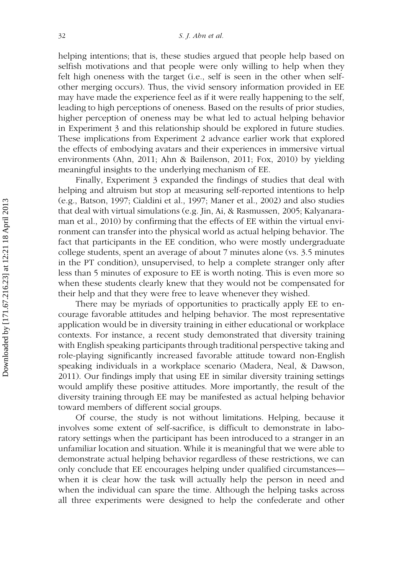helping intentions; that is, these studies argued that people help based on selfish motivations and that people were only willing to help when they felt high oneness with the target (i.e., self is seen in the other when selfother merging occurs). Thus, the vivid sensory information provided in EE may have made the experience feel as if it were really happening to the self, leading to high perceptions of oneness. Based on the results of prior studies, higher perception of oneness may be what led to actual helping behavior in Experiment 3 and this relationship should be explored in future studies. These implications from Experiment 2 advance earlier work that explored the effects of embodying avatars and their experiences in immersive virtual environments (Ahn, 2011; Ahn & Bailenson, 2011; Fox, 2010) by yielding meaningful insights to the underlying mechanism of EE.

Finally, Experiment 3 expanded the findings of studies that deal with helping and altruism but stop at measuring self-reported intentions to help (e.g., Batson, 1997; Cialdini et al., 1997; Maner et al., 2002) and also studies that deal with virtual simulations (e.g. Jin, Ai, & Rasmussen, 2005; Kalyanaraman et al., 2010) by confirming that the effects of EE within the virtual environment can transfer into the physical world as actual helping behavior. The fact that participants in the EE condition, who were mostly undergraduate college students, spent an average of about 7 minutes alone (vs. 3.5 minutes in the PT condition), unsupervised, to help a complete stranger only after less than 5 minutes of exposure to EE is worth noting. This is even more so when these students clearly knew that they would not be compensated for their help and that they were free to leave whenever they wished.

There may be myriads of opportunities to practically apply EE to encourage favorable attitudes and helping behavior. The most representative application would be in diversity training in either educational or workplace contexts. For instance, a recent study demonstrated that diversity training with English speaking participants through traditional perspective taking and role-playing significantly increased favorable attitude toward non-English speaking individuals in a workplace scenario (Madera, Neal, & Dawson, 2011). Our findings imply that using EE in similar diversity training settings would amplify these positive attitudes. More importantly, the result of the diversity training through EE may be manifested as actual helping behavior toward members of different social groups.

Of course, the study is not without limitations. Helping, because it involves some extent of self-sacrifice, is difficult to demonstrate in laboratory settings when the participant has been introduced to a stranger in an unfamiliar location and situation. While it is meaningful that we were able to demonstrate actual helping behavior regardless of these restrictions, we can only conclude that EE encourages helping under qualified circumstances when it is clear how the task will actually help the person in need and when the individual can spare the time. Although the helping tasks across all three experiments were designed to help the confederate and other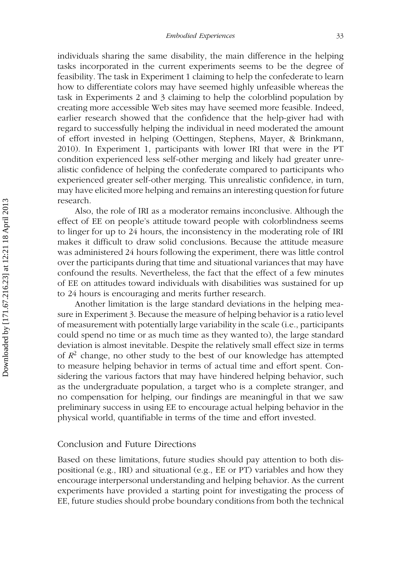individuals sharing the same disability, the main difference in the helping tasks incorporated in the current experiments seems to be the degree of feasibility. The task in Experiment 1 claiming to help the confederate to learn how to differentiate colors may have seemed highly unfeasible whereas the task in Experiments 2 and 3 claiming to help the colorblind population by creating more accessible Web sites may have seemed more feasible. Indeed, earlier research showed that the confidence that the help-giver had with regard to successfully helping the individual in need moderated the amount of effort invested in helping (Oettingen, Stephens, Mayer, & Brinkmann, 2010). In Experiment 1, participants with lower IRI that were in the PT condition experienced less self-other merging and likely had greater unrealistic confidence of helping the confederate compared to participants who experienced greater self-other merging. This unrealistic confidence, in turn, may have elicited more helping and remains an interesting question for future research.

Also, the role of IRI as a moderator remains inconclusive. Although the effect of EE on people's attitude toward people with colorblindness seems to linger for up to 24 hours, the inconsistency in the moderating role of IRI makes it difficult to draw solid conclusions. Because the attitude measure was administered 24 hours following the experiment, there was little control over the participants during that time and situational variances that may have confound the results. Nevertheless, the fact that the effect of a few minutes of EE on attitudes toward individuals with disabilities was sustained for up to 24 hours is encouraging and merits further research.

Another limitation is the large standard deviations in the helping measure in Experiment 3. Because the measure of helping behavior is a ratio level of measurement with potentially large variability in the scale (i.e., participants could spend no time or as much time as they wanted to), the large standard deviation is almost inevitable. Despite the relatively small effect size in terms of  $R<sup>2</sup>$  change, no other study to the best of our knowledge has attempted to measure helping behavior in terms of actual time and effort spent. Considering the various factors that may have hindered helping behavior, such as the undergraduate population, a target who is a complete stranger, and no compensation for helping, our findings are meaningful in that we saw preliminary success in using EE to encourage actual helping behavior in the physical world, quantifiable in terms of the time and effort invested.

## Conclusion and Future Directions

Based on these limitations, future studies should pay attention to both dispositional (e.g., IRI) and situational (e.g., EE or PT) variables and how they encourage interpersonal understanding and helping behavior. As the current experiments have provided a starting point for investigating the process of EE, future studies should probe boundary conditions from both the technical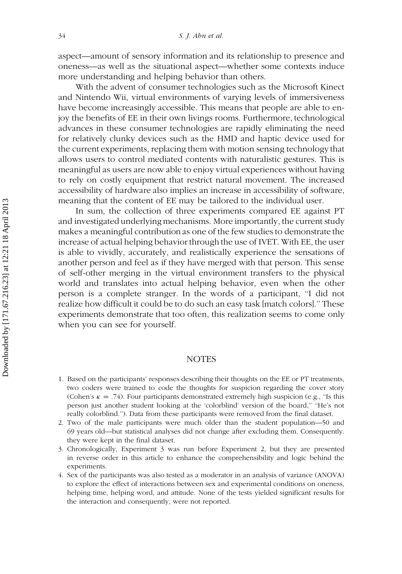aspect—amount of sensory information and its relationship to presence and oneness—as well as the situational aspect—whether some contexts induce more understanding and helping behavior than others.

With the advent of consumer technologies such as the Microsoft Kinect and Nintendo Wii, virtual environments of varying levels of immersiveness have become increasingly accessible. This means that people are able to enjoy the benefits of EE in their own livings rooms. Furthermore, technological advances in these consumer technologies are rapidly eliminating the need for relatively clunky devices such as the HMD and haptic device used for the current experiments, replacing them with motion sensing technology that allows users to control mediated contents with naturalistic gestures. This is meaningful as users are now able to enjoy virtual experiences without having to rely on costly equipment that restrict natural movement. The increased accessibility of hardware also implies an increase in accessibility of software, meaning that the content of EE may be tailored to the individual user.

In sum, the collection of three experiments compared EE against PT and investigated underlying mechanisms. More importantly, the current study makes a meaningful contribution as one of the few studies to demonstrate the increase of actual helping behavior through the use of IVET. With EE, the user is able to vividly, accurately, and realistically experience the sensations of another person and feel as if they have merged with that person. This sense of self-other merging in the virtual environment transfers to the physical world and translates into actual helping behavior, even when the other person is a complete stranger. In the words of a participant, ''I did not realize how difficult it could be to do such an easy task [match colors].'' These experiments demonstrate that too often, this realization seems to come only when you can see for yourself.

## **NOTES**

- 1. Based on the participants' responses describing their thoughts on the EE or PT treatments, two coders were trained to code the thoughts for suspicion regarding the cover story (Cohen's  $\kappa = .74$ ). Four participants demonstrated extremely high suspicion (e.g., "Is this person just another student looking at the 'colorblind' version of the board,'' ''He's not really colorblind.''). Data from these participants were removed from the final dataset.
- 2. Two of the male participants were much older than the student population—50 and 69 years old—but statistical analyses did not change after excluding them. Consequently. they were kept in the final dataset.
- 3. Chronologically, Experiment 3 was run before Experiment 2, but they are presented in reverse order in this article to enhance the comprehensibility and logic behind the experiments.
- 4. Sex of the participants was also tested as a moderator in an analysis of variance (ANOVA) to explore the effect of interactions between sex and experimental conditions on oneness, helping time, helping word, and attitude. None of the tests yielded significant results for the interaction and consequently, were not reported.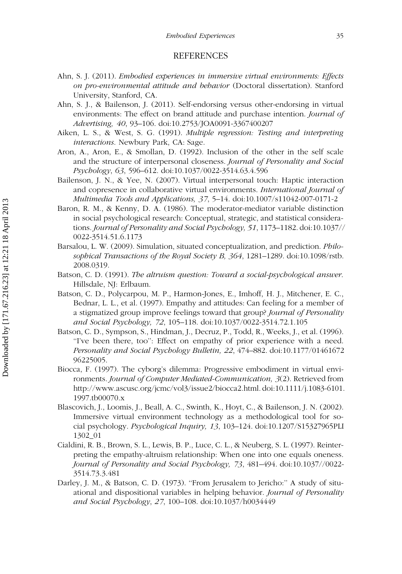#### **REFERENCES**

- Ahn, S. J. (2011). Embodied experiences in immersive virtual environments: Effects on pro-environmental attitude and behavior (Doctoral dissertation). Stanford University, Stanford, CA.
- Ahn, S. J., & Bailenson, J. (2011). Self-endorsing versus other-endorsing in virtual environments: The effect on brand attitude and purchase intention. Journal of Advertising, 40, 93–106. doi:10.2753/JOA0091-3367400207
- Aiken, L. S., & West, S. G. (1991). Multiple regression: Testing and interpreting interactions. Newbury Park, CA: Sage.
- Aron, A., Aron, E., & Smollan, D. (1992). Inclusion of the other in the self scale and the structure of interpersonal closeness. Journal of Personality and Social Psychology, 63, 596–612. doi:10.1037/0022-3514.63.4.596
- Bailenson, J. N., & Yee, N. (2007). Virtual interpersonal touch: Haptic interaction and copresence in collaborative virtual environments. International Journal of Multimedia Tools and Applications, 37, 5–14. doi:10.1007/s11042-007-0171-2
- Baron, R. M., & Kenny, D. A. (1986). The moderator-mediator variable distinction in social psychological research: Conceptual, strategic, and statistical considerations. Journal of Personality and Social Psychology, 51, 1173–1182. doi:10.1037// 0022-3514.51.6.1173
- Barsalou, L. W. (2009). Simulation, situated conceptualization, and prediction. Philosophical Transactions of the Royal Society B, 364, 1281-1289. doi:10.1098/rstb. 2008.0319.
- Batson, C. D. (1991). The altruism question: Toward a social-psychological answer. Hillsdale, NJ: Erlbaum.
- Batson, C. D., Polycarpou, M. P., Harmon-Jones, E., Imhoff, H. J., Mitchener, E. C., Bednar, L. L., et al. (1997). Empathy and attitudes: Can feeling for a member of a stigmatized group improve feelings toward that group? Journal of Personality and Social Psychology, 72, 105–118. doi:10.1037/0022-3514.72.1.105
- Batson, C. D., Sympson, S., Hindman, J., Decruz, P., Todd, R., Weeks, J., et al. (1996). "I've been there, too": Effect on empathy of prior experience with a need. Personality and Social Psychology Bulletin, 22, 474–882. doi:10.1177/01461672 96225005.
- Biocca, F. (1997). The cyborg's dilemma: Progressive embodiment in virtual environments. Journal of Computer Mediated-Communication, 3(2). Retrieved from http://www.ascusc.org/jcmc/vol3/issue2/biocca2.html. doi:10.1111/j.1083-6101. 1997.tb00070.x
- Blascovich, J., Loomis, J., Beall, A. C., Swinth, K., Hoyt, C., & Bailenson, J. N. (2002). Immersive virtual environment technology as a methodological tool for social psychology. Psychological Inquiry, 13, 103–124. doi:10.1207/S15327965PLI 1302\_01
- Cialdini, R. B., Brown, S. L., Lewis, B. P., Luce, C. L., & Neuberg, S. L. (1997). Reinterpreting the empathy-altruism relationship: When one into one equals oneness. Journal of Personality and Social Psychology, 73, 481–494. doi:10.1037//0022- 3514.73.3.481
- Darley, J. M., & Batson, C. D. (1973). "From Jerusalem to Jericho:" A study of situational and dispositional variables in helping behavior. Journal of Personality and Social Psychology, 27, 100–108. doi:10.1037/h0034449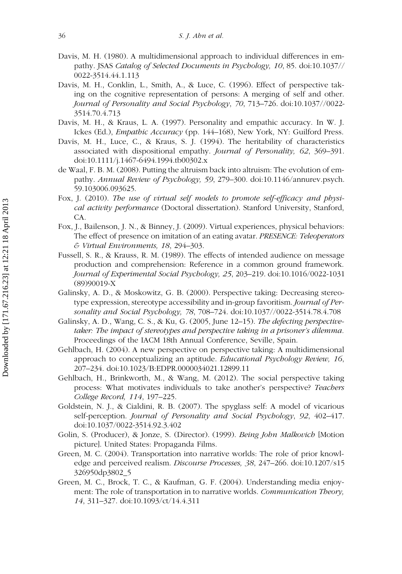- Davis, M. H. (1980). A multidimensional approach to individual differences in empathy. JSAS Catalog of Selected Documents in Psychology, 10, 85. doi:10.1037// 0022-3514.44.1.113
- Davis, M. H., Conklin, L., Smith, A., & Luce, C. (1996). Effect of perspective taking on the cognitive representation of persons: A merging of self and other. Journal of Personality and Social Psychology, 70, 713–726. doi:10.1037//0022- 3514.70.4.713
- Davis, M. H., & Kraus, L. A. (1997). Personality and empathic accuracy. In W. J. Ickes (Ed.), *Empathic Accuracy* (pp. 144–168), New York, NY: Guilford Press.
- Davis, M. H., Luce, C., & Kraus, S. J. (1994). The heritability of characteristics associated with dispositional empathy. Journal of Personality, 62, 369–391. doi:10.1111/j.1467-6494.1994.tb00302.x
- de Waal, F. B. M. (2008). Putting the altruism back into altruism: The evolution of empathy. Annual Review of Psychology, 59, 279–300. doi:10.1146/annurev.psych. 59.103006.093625.
- Fox, J. (2010). The use of virtual self models to promote self-efficacy and physical activity performance (Doctoral dissertation). Stanford University, Stanford, CA.
- Fox, J., Bailenson, J. N., & Binney, J. (2009). Virtual experiences, physical behaviors: The effect of presence on imitation of an eating avatar. PRESENCE: Teleoperators & Virtual Environments, 18, 294–303.
- Fussell, S. R., & Krauss, R. M. (1989). The effects of intended audience on message production and comprehension: Reference in a common ground framework. Journal of Experimental Social Psychology, 25, 203–219. doi:10.1016/0022-1031 (89)90019-X
- Galinsky, A. D., & Moskowitz, G. B. (2000). Perspective taking: Decreasing stereotype expression, stereotype accessibility and in-group favoritism. Journal of Personality and Social Psychology, 78, 708–724. doi:10.1037//0022-3514.78.4.708
- Galinsky, A. D., Wang, C. S., & Ku, G. (2005, June 12–15). The defecting perspectivetaker: The impact of stereotypes and perspective taking in a prisoner's dilemma. Proceedings of the IACM 18th Annual Conference, Seville, Spain.
- Gehlbach, H. (2004). A new perspective on perspective taking: A multidimensional approach to conceptualizing an aptitude. Educational Psychology Review, 16, 207–234. doi:10.1023/B:EDPR.0000034021.12899.11
- Gehlbach, H., Brinkworth, M., & Wang, M. (2012). The social perspective taking process: What motivates individuals to take another's perspective? Teachers College Record, 114, 197–225.
- Goldstein, N. J., & Cialdini, R. B. (2007). The spyglass self: A model of vicarious self-perception. Journal of Personality and Social Psychology, 92, 402-417. doi:10.1037/0022-3514.92.3.402
- Golin, S. (Producer), & Jonze, S. (Director). (1999). Being John Malkovich [Motion picture]. United States: Propaganda Films.
- Green, M. C. (2004). Transportation into narrative worlds: The role of prior knowledge and perceived realism. Discourse Processes, 38, 247–266. doi:10.1207/s15 326950dp3802\_5
- Green, M. C., Brock, T. C., & Kaufman, G. F. (2004). Understanding media enjoyment: The role of transportation in to narrative worlds. Communication Theory, 14, 311–327. doi:10.1093/ct/14.4.311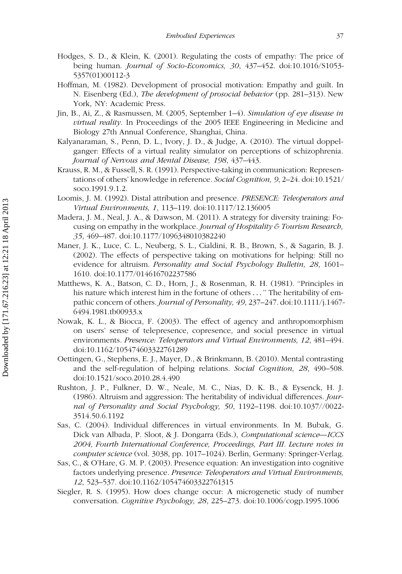- Hodges, S. D., & Klein, K. (2001). Regulating the costs of empathy: The price of being human. Journal of Socio-Economics, 30, 437–452. doi:10.1016/S1053- 5357(01)00112-3
- Hoffman, M. (1982). Development of prosocial motivation: Empathy and guilt. In N. Eisenberg (Ed.), The development of prosocial behavior (pp. 281–313). New York, NY: Academic Press.
- Jin, B., Ai, Z., & Rasmussen, M. (2005, September 1–4). Simulation of eye disease in virtual reality. In Proceedings of the 2005 IEEE Engineering in Medicine and Biology 27th Annual Conference, Shanghai, China.
- Kalyanaraman, S., Penn, D. L., Ivory, J. D., & Judge, A. (2010). The virtual doppelganger: Effects of a virtual reality simulator on perceptions of schizophrenia. Journal of Nervous and Mental Disease, 198, 437–443.
- Krauss, R. M., & Fussell, S. R. (1991). Perspective-taking in communication: Representations of others' knowledge in reference. Social Cognition, 9, 2–24. doi:10.1521/ soco.1991.9.1.2.
- Loomis, J. M. (1992). Distal attribution and presence. PRESENCE: Teleoperators and Virtual Environments, 1, 113–119. doi:10.1117/12.136005
- Madera, J. M., Neal, J. A., & Dawson, M. (2011). A strategy for diversity training: Focusing on empathy in the workplace. Journal of Hospitality & Tourism Research, 35, 469–487. doi:10.1177/1096348010382240
- Maner, J. K., Luce, C. L., Neuberg, S. L., Cialdini, R. B., Brown, S., & Sagarin, B. J. (2002). The effects of perspective taking on motivations for helping: Still no evidence for altruism. Personality and Social Psychology Bulletin, 28, 1601– 1610. doi:10.1177/014616702237586
- Matthews, K. A., Batson, C. D., Horn, J., & Rosenman, R. H. (1981). ''Principles in his nature which interest him in the fortune of others ..." The heritability of empathic concern of others. Journal of Personality, 49, 237-247. doi:10.1111/j.1467-6494.1981.tb00933.x
- Nowak, K. L., & Biocca, F. (2003). The effect of agency and anthropomorphism on users' sense of telepresence, copresence, and social presence in virtual environments. Presence: Teleoperators and Virtual Environments, 12, 481–494. doi:10.1162/105474603322761289
- Oettingen, G., Stephens, E. J., Mayer, D., & Brinkmann, B. (2010). Mental contrasting and the self-regulation of helping relations. Social Cognition, 28, 490–508. doi:10.1521/soco.2010.28.4.490
- Rushton, J. P., Fulkner, D. W., Neale, M. C., Nias, D. K. B., & Eysenck, H. J. (1986). Altruism and aggression: The heritability of individual differences. Journal of Personality and Social Psychology, 50, 1192–1198. doi:10.1037//0022- 3514.50.6.1192
- Sas, C. (2004). Individual differences in virtual environments. In M. Bubak, G. Dick van Albada, P. Sloot, & J. Dongarra (Eds.), Computational science—ICCS 2004, Fourth International Conference, Proceedings, Part III. Lecture notes in computer science (vol. 3038, pp. 1017–1024). Berlin, Germany: Springer-Verlag.
- Sas, C., & O'Hare, G. M. P. (2003). Presence equation: An investigation into cognitive factors underlying presence. Presence: Teleoperators and Virtual Environments, 12, 523–537. doi:10.1162/105474603322761315
- Siegler, R. S. (1995). How does change occur: A microgenetic study of number conversation. Cognitive Psychology, 28, 225–273. doi:10.1006/cogp.1995.1006